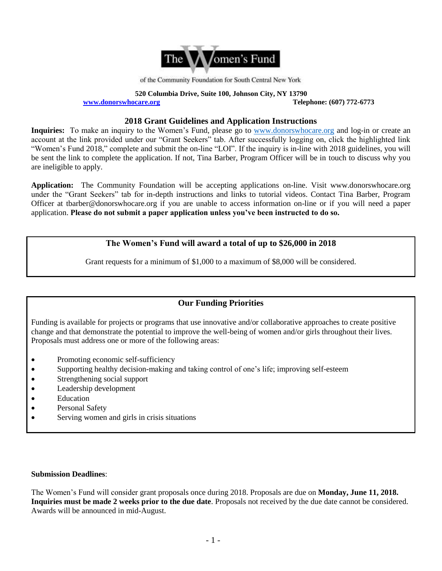

of the Community Foundation for South Central New York

**520 Columbia Drive, Suite 100, Johnson City, NY 13790 [www.donorswhocare.org](http://www.donorswhocare.org/) Telephone: (607) 772-6773**

#### **2018 Grant Guidelines and Application Instructions**

**Inquiries:** To make an inquiry to the Women's Fund, please go to [www.donorswhocare.org](http://www.donorswhocare.org/) and log-in or create an account at the link provided under our "Grant Seekers" tab. After successfully logging on, click the highlighted link "Women's Fund 2018," complete and submit the on-line "LOI". If the inquiry is in-line with 2018 guidelines, you will be sent the link to complete the application. If not, Tina Barber, Program Officer will be in touch to discuss why you are ineligible to apply.

**Application:** The Community Foundation will be accepting applications on-line. Visit www.donorswhocare.org under the "Grant Seekers" tab for in-depth instructions and links to tutorial videos. Contact Tina Barber, Program Officer at tbarber@donorswhocare.org if you are unable to access information on-line or if you will need a paper application. **Please do not submit a paper application unless you've been instructed to do so.**

## **The Women's Fund will award a total of up to \$26,000 in 2018**

Grant requests for a minimum of \$1,000 to a maximum of \$8,000 will be considered.

# **Our Funding Priorities**

Funding is available for projects or programs that use innovative and/or collaborative approaches to create positive change and that demonstrate the potential to improve the well-being of women and/or girls throughout their lives. Proposals must address one or more of the following areas:

- Promoting economic self-sufficiency
- Supporting healthy decision-making and taking control of one's life; improving self-esteem
- Strengthening social support
- Leadership development
- Education
- Personal Safety
- Serving women and girls in crisis situations

#### **Submission Deadlines**:

The Women's Fund will consider grant proposals once during 2018. Proposals are due on **Monday, June 11, 2018. Inquiries must be made 2 weeks prior to the due date**. Proposals not received by the due date cannot be considered. Awards will be announced in mid-August.